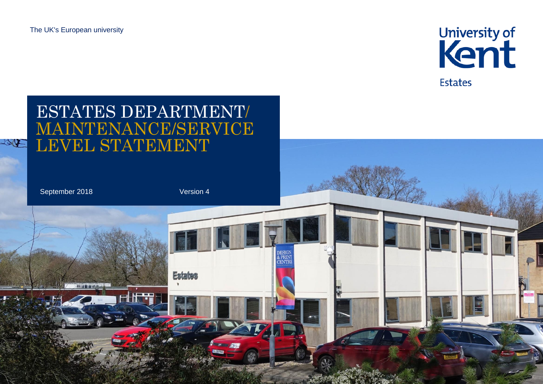

# ESTATES DEPARTMENT/ MAINTENANCE/SERVICE LEVEL STATEMENT TAR September 2018 Version 4DESIGN<br>& PRINT<br>CENTR **Estates**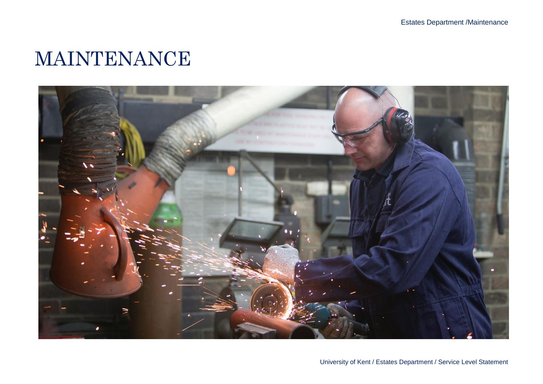### MAINTENANCE

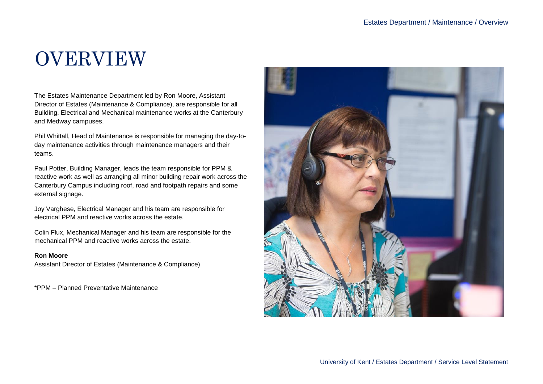## OVERVIEW

The Estates Maintenance Department led by Ron Moore, Assistant Director of Estates (Maintenance & Compliance), are responsible for all Building, Electrical and Mechanical maintenance works at the Canterbury and Medway campuses.

Phil Whittall, Head of Maintenance is responsible for managing the day-today maintenance activities through maintenance managers and their teams.

Paul Potter, Building Manager, leads the team responsible for PPM & reactive work as well as arranging all minor building repair work across the Canterbury Campus including roof, road and footpath repairs and some external signage.

Joy Varghese, Electrical Manager and his team are responsible for electrical PPM and reactive works across the estate.

Colin Flux, Mechanical Manager and his team are responsible for the mechanical PPM and reactive works across the estate.

#### **Ron Moore**

Assistant Director of Estates (Maintenance & Compliance)

\*PPM – Planned Preventative Maintenance

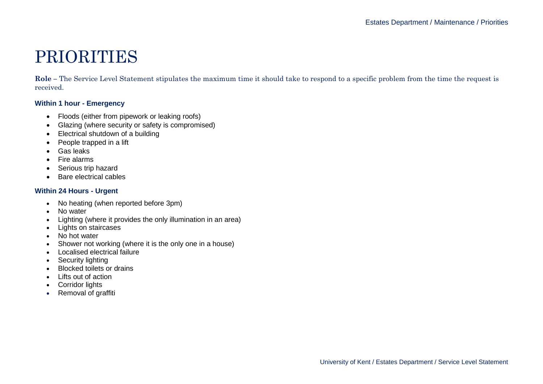### PRIORITIES

**Role –** The Service Level Statement stipulates the maximum time it should take to respond to a specific problem from the time the request is received.

#### **Within 1 hour - Emergency**

- Floods (either from pipework or leaking roofs)
- Glazing (where security or safety is compromised)
- Electrical shutdown of a building
- People trapped in a lift
- Gas leaks
- Fire alarms
- Serious trip hazard
- Bare electrical cables

#### **Within 24 Hours - Urgent**

- No heating (when reported before 3pm)
- No water
- Lighting (where it provides the only illumination in an area)
- Lights on staircases
- No hot water
- Shower not working (where it is the only one in a house)
- Localised electrical failure
- Security lighting
- Blocked toilets or drains
- Lifts out of action
- Corridor lights
- Removal of graffiti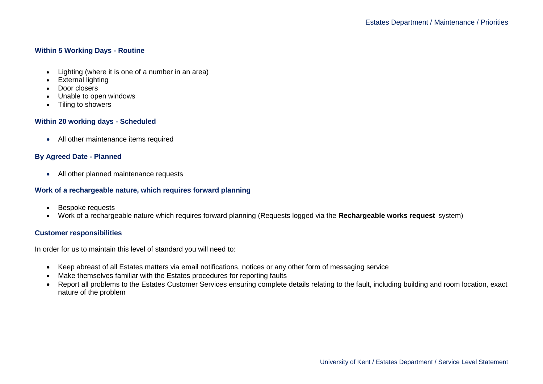#### **Within 5 Working Days - Routine**

- Lighting (where it is one of a number in an area)
- External lighting
- Door closers
- Unable to open windows
- Tiling to showers

#### **Within 20 working days - Scheduled**

• All other maintenance items required

#### **By Agreed Date - Planned**

• All other planned maintenance requests

#### **Work of a rechargeable nature, which requires forward planning**

- Bespoke requests
- Work of a rechargeable nature which requires forward planning (Requests logged via the **[Rechargeable works request](https://www.kent.ac.uk/estates/helpdesk/work-requests/request-details.php)** system)

#### **Customer responsibilities**

In order for us to maintain this level of standard you will need to:

- Keep abreast of all Estates matters via email notifications, notices or any other form of messaging service
- Make themselves familiar with the Estates procedures for reporting faults
- Report all problems to the Estates Customer Services ensuring complete details relating to the fault, including building and room location, exact nature of the problem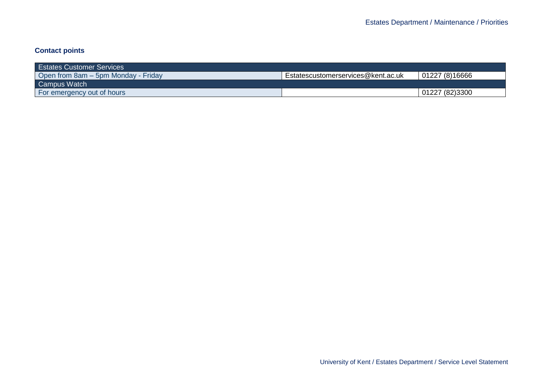#### **Contact points**

| <b>Estates Customer Services</b>    |                                    |                |
|-------------------------------------|------------------------------------|----------------|
| Open from 8am – 5pm Monday - Friday | Estatescustomerservices@kent.ac.uk | 01227 (8)16666 |
| Campus Watch                        |                                    |                |
| For emergency out of hours          |                                    | 01227 (82)3300 |